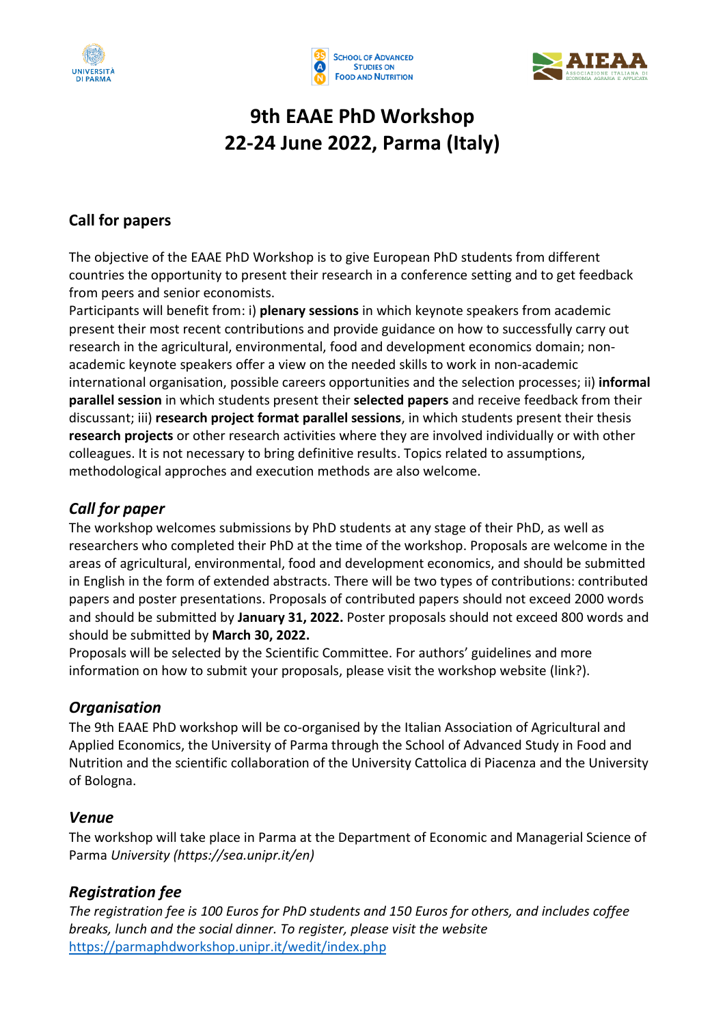





# **9th EAAE PhD Workshop 22-24 June 2022, Parma (Italy)**

## **Call for papers**

The objective of the EAAE PhD Workshop is to give European PhD students from different countries the opportunity to present their research in a conference setting and to get feedback from peers and senior economists.

Participants will benefit from: i) **plenary sessions** in which keynote speakers from academic present their most recent contributions and provide guidance on how to successfully carry out research in the agricultural, environmental, food and development economics domain; nonacademic keynote speakers offer a view on the needed skills to work in non-academic international organisation, possible careers opportunities and the selection processes; ii) **informal parallel session** in which students present their **selected papers** and receive feedback from their discussant; iii) **research project format parallel sessions**, in which students present their thesis **research projects** or other research activities where they are involved individually or with other colleagues. It is not necessary to bring definitive results. Topics related to assumptions, methodological approches and execution methods are also welcome.

## *Call for paper*

The workshop welcomes submissions by PhD students at any stage of their PhD, as well as researchers who completed their PhD at the time of the workshop. Proposals are welcome in the areas of agricultural, environmental, food and development economics, and should be submitted in English in the form of extended abstracts. There will be two types of contributions: contributed papers and poster presentations. Proposals of contributed papers should not exceed 2000 words and should be submitted by **January 31, 2022.** Poster proposals should not exceed 800 words and should be submitted by **March 30, 2022.**

Proposals will be selected by the Scientific Committee. For authors' guidelines and more information on how to submit your proposals, please visit the workshop website (link?).

## *Organisation*

The 9th EAAE PhD workshop will be co-organised by the Italian Association of Agricultural and Applied Economics, the University of Parma through the School of Advanced Study in Food and Nutrition and the scientific collaboration of the University Cattolica di Piacenza and the University of Bologna.

## *Venue*

The workshop will take place in Parma at the Department of Economic and Managerial Science of Parma *University (https://sea.unipr.it/en)*

## *Registration fee*

*The registration fee is 100 Euros for PhD students and 150 Euros for others, and includes coffee breaks, lunch and the social dinner. To register, please visit the website*  [https://parmaphdworkshop.unipr.it/wedit/index.php](https://eur01.safelinks.protection.outlook.com/?url=https%3A%2F%2Fparmaphdworkshop.unipr.it%2Fwedit%2Findex.php&data=04%7C01%7Cfilippo.arfini%40unipr.it%7Cb0558a3c82b64993926608d9a8473ec8%7Cbb064bc5b7a841ecbabed7beb3faeb1c%7C0%7C0%7C637725846205904515%7CUnknown%7CTWFpbGZsb3d8eyJWIjoiMC4wLjAwMDAiLCJQIjoiV2luMzIiLCJBTiI6Ik1haWwiLCJXVCI6Mn0%3D%7C3000&sdata=7jLIXwRggtU82aFXjo3dbUPj1KWaXJQtlduXx0dgqKY%3D&reserved=0)